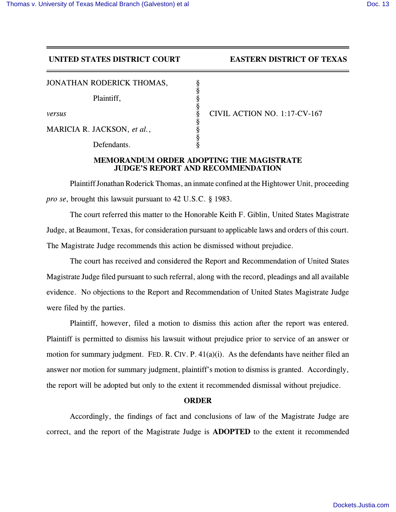## **UNITED STATES DISTRICT COURT EASTERN DISTRICT OF TEXAS**

JONATHAN RODERICK THOMAS,

Plaintiff,

MARICIA R. JACKSON, et al.,

Defendants.

*versus* § CIVIL ACTION NO. 1:17-CV-167

## **MEMORANDUM ORDER ADOPTING THE MAGISTRATE JUDGE'S REPORT AND RECOMMENDATION**

§

§

§

§

Plaintiff Jonathan Roderick Thomas, an inmate confined at the Hightower Unit, proceeding *pro se*, brought this lawsuit pursuant to 42 U.S.C. § 1983.

The court referred this matter to the Honorable Keith F. Giblin, United States Magistrate Judge, at Beaumont, Texas, for consideration pursuant to applicable laws and orders of this court. The Magistrate Judge recommends this action be dismissed without prejudice.

The court has received and considered the Report and Recommendation of United States Magistrate Judge filed pursuant to such referral, along with the record, pleadings and all available evidence. No objections to the Report and Recommendation of United States Magistrate Judge were filed by the parties.

Plaintiff, however, filed a motion to dismiss this action after the report was entered. Plaintiff is permitted to dismiss his lawsuit without prejudice prior to service of an answer or motion for summary judgment. FED. R. CIV. P. 41(a)(i). As the defendants have neither filed an answer nor motion for summary judgment, plaintiff's motion to dismiss is granted. Accordingly, the report will be adopted but only to the extent it recommended dismissal without prejudice.

## **ORDER**

Accordingly, the findings of fact and conclusions of law of the Magistrate Judge are correct, and the report of the Magistrate Judge is **ADOPTED** to the extent it recommended